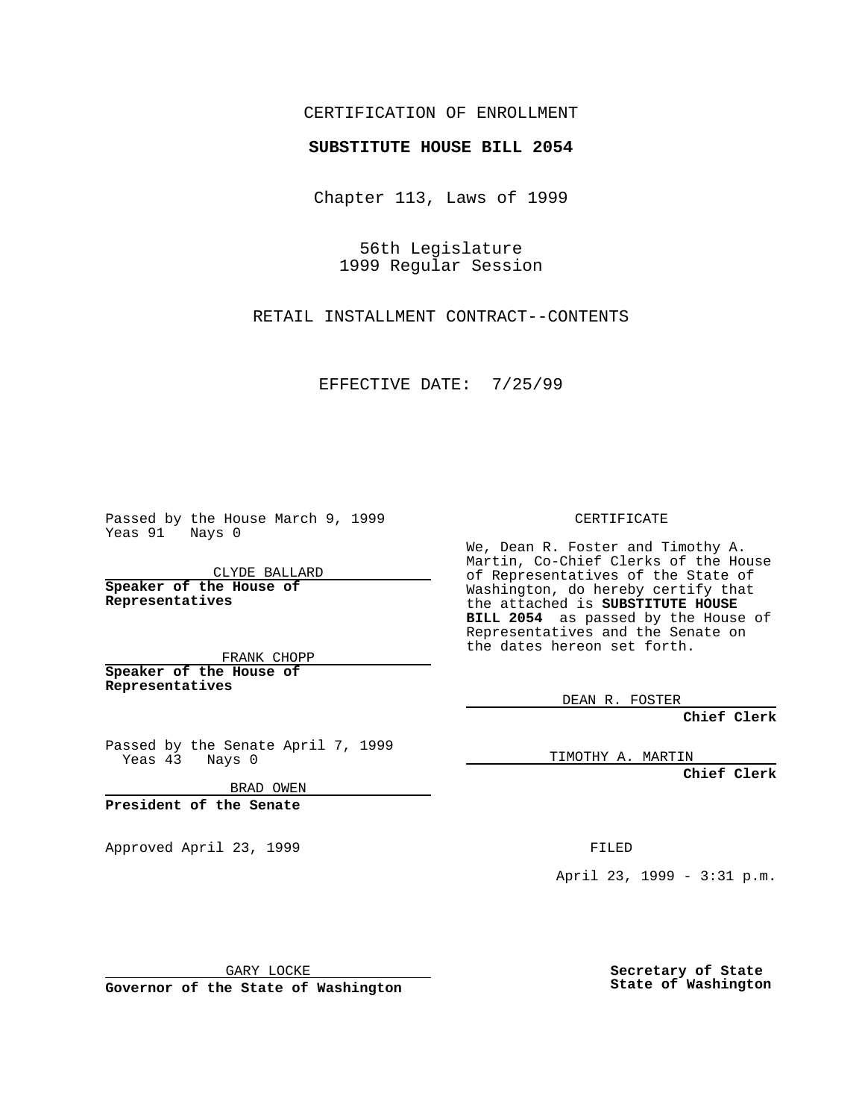CERTIFICATION OF ENROLLMENT

## **SUBSTITUTE HOUSE BILL 2054**

Chapter 113, Laws of 1999

56th Legislature 1999 Regular Session

RETAIL INSTALLMENT CONTRACT--CONTENTS

EFFECTIVE DATE: 7/25/99

Passed by the House March 9, 1999 Yeas 91 Nays 0

CLYDE BALLARD **Speaker of the House of Representatives**

FRANK CHOPP **Speaker of the House of Representatives**

Passed by the Senate April 7, 1999 Yeas 43 Nays 0

BRAD OWEN

**President of the Senate**

Approved April 23, 1999 FILED

CERTIFICATE

We, Dean R. Foster and Timothy A. Martin, Co-Chief Clerks of the House of Representatives of the State of Washington, do hereby certify that the attached is **SUBSTITUTE HOUSE BILL 2054** as passed by the House of Representatives and the Senate on the dates hereon set forth.

DEAN R. FOSTER

**Chief Clerk**

TIMOTHY A. MARTIN

**Chief Clerk**

April 23, 1999 - 3:31 p.m.

GARY LOCKE

**Governor of the State of Washington**

**Secretary of State State of Washington**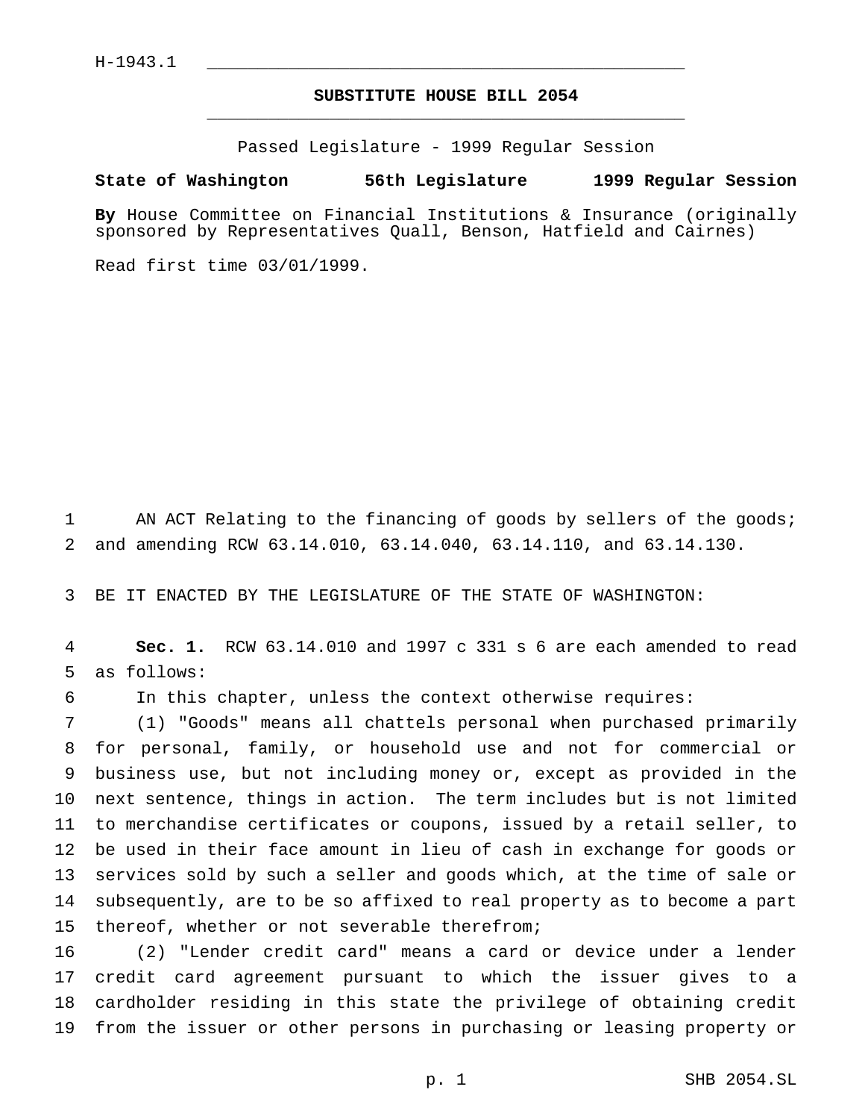## **SUBSTITUTE HOUSE BILL 2054** \_\_\_\_\_\_\_\_\_\_\_\_\_\_\_\_\_\_\_\_\_\_\_\_\_\_\_\_\_\_\_\_\_\_\_\_\_\_\_\_\_\_\_\_\_\_\_

Passed Legislature - 1999 Regular Session

## **State of Washington 56th Legislature 1999 Regular Session**

**By** House Committee on Financial Institutions & Insurance (originally sponsored by Representatives Quall, Benson, Hatfield and Cairnes)

Read first time 03/01/1999.

1 AN ACT Relating to the financing of goods by sellers of the goods; and amending RCW 63.14.010, 63.14.040, 63.14.110, and 63.14.130.

BE IT ENACTED BY THE LEGISLATURE OF THE STATE OF WASHINGTON:

 **Sec. 1.** RCW 63.14.010 and 1997 c 331 s 6 are each amended to read as follows:

In this chapter, unless the context otherwise requires:

 (1) "Goods" means all chattels personal when purchased primarily for personal, family, or household use and not for commercial or business use, but not including money or, except as provided in the next sentence, things in action. The term includes but is not limited to merchandise certificates or coupons, issued by a retail seller, to be used in their face amount in lieu of cash in exchange for goods or services sold by such a seller and goods which, at the time of sale or subsequently, are to be so affixed to real property as to become a part thereof, whether or not severable therefrom;

 (2) "Lender credit card" means a card or device under a lender credit card agreement pursuant to which the issuer gives to a cardholder residing in this state the privilege of obtaining credit from the issuer or other persons in purchasing or leasing property or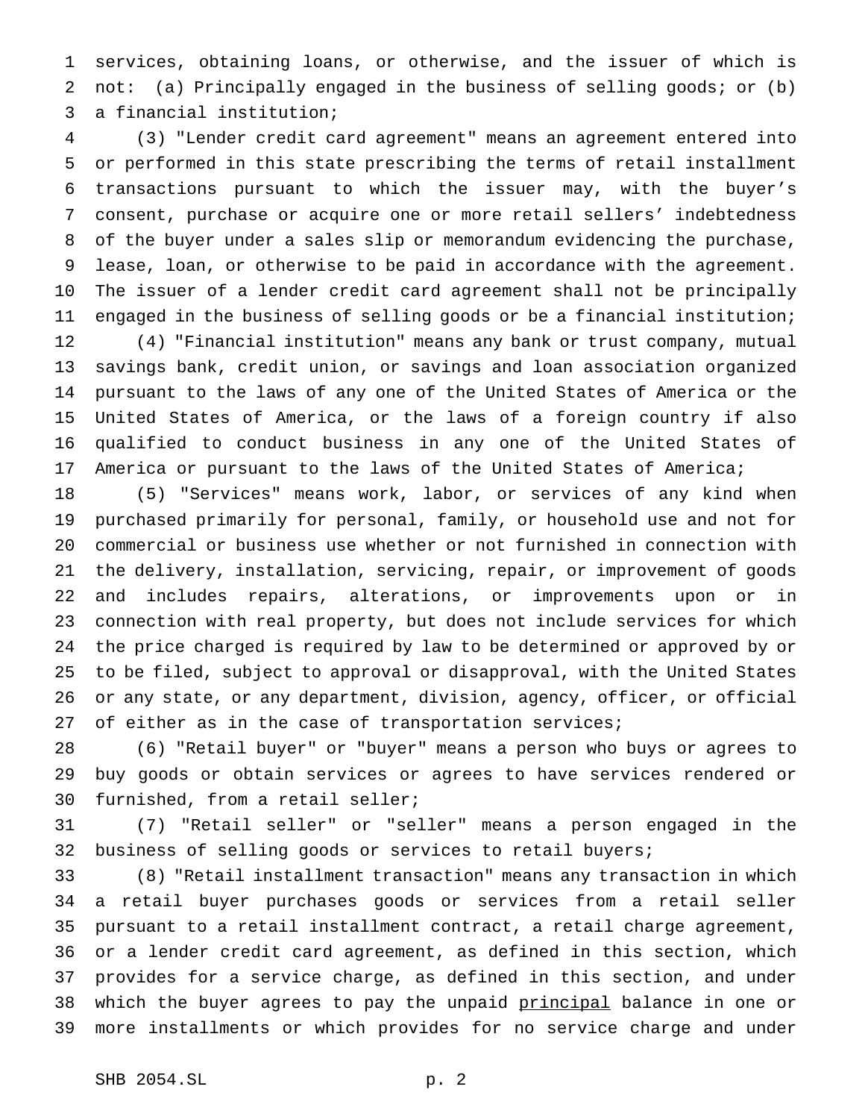services, obtaining loans, or otherwise, and the issuer of which is not: (a) Principally engaged in the business of selling goods; or (b) a financial institution;

 (3) "Lender credit card agreement" means an agreement entered into or performed in this state prescribing the terms of retail installment transactions pursuant to which the issuer may, with the buyer's consent, purchase or acquire one or more retail sellers' indebtedness of the buyer under a sales slip or memorandum evidencing the purchase, lease, loan, or otherwise to be paid in accordance with the agreement. The issuer of a lender credit card agreement shall not be principally engaged in the business of selling goods or be a financial institution; (4) "Financial institution" means any bank or trust company, mutual savings bank, credit union, or savings and loan association organized pursuant to the laws of any one of the United States of America or the United States of America, or the laws of a foreign country if also qualified to conduct business in any one of the United States of America or pursuant to the laws of the United States of America;

 (5) "Services" means work, labor, or services of any kind when purchased primarily for personal, family, or household use and not for commercial or business use whether or not furnished in connection with the delivery, installation, servicing, repair, or improvement of goods and includes repairs, alterations, or improvements upon or in connection with real property, but does not include services for which the price charged is required by law to be determined or approved by or to be filed, subject to approval or disapproval, with the United States or any state, or any department, division, agency, officer, or official 27 of either as in the case of transportation services;

 (6) "Retail buyer" or "buyer" means a person who buys or agrees to buy goods or obtain services or agrees to have services rendered or furnished, from a retail seller;

 (7) "Retail seller" or "seller" means a person engaged in the business of selling goods or services to retail buyers;

 (8) "Retail installment transaction" means any transaction in which a retail buyer purchases goods or services from a retail seller pursuant to a retail installment contract, a retail charge agreement, or a lender credit card agreement, as defined in this section, which provides for a service charge, as defined in this section, and under 38 which the buyer agrees to pay the unpaid principal balance in one or more installments or which provides for no service charge and under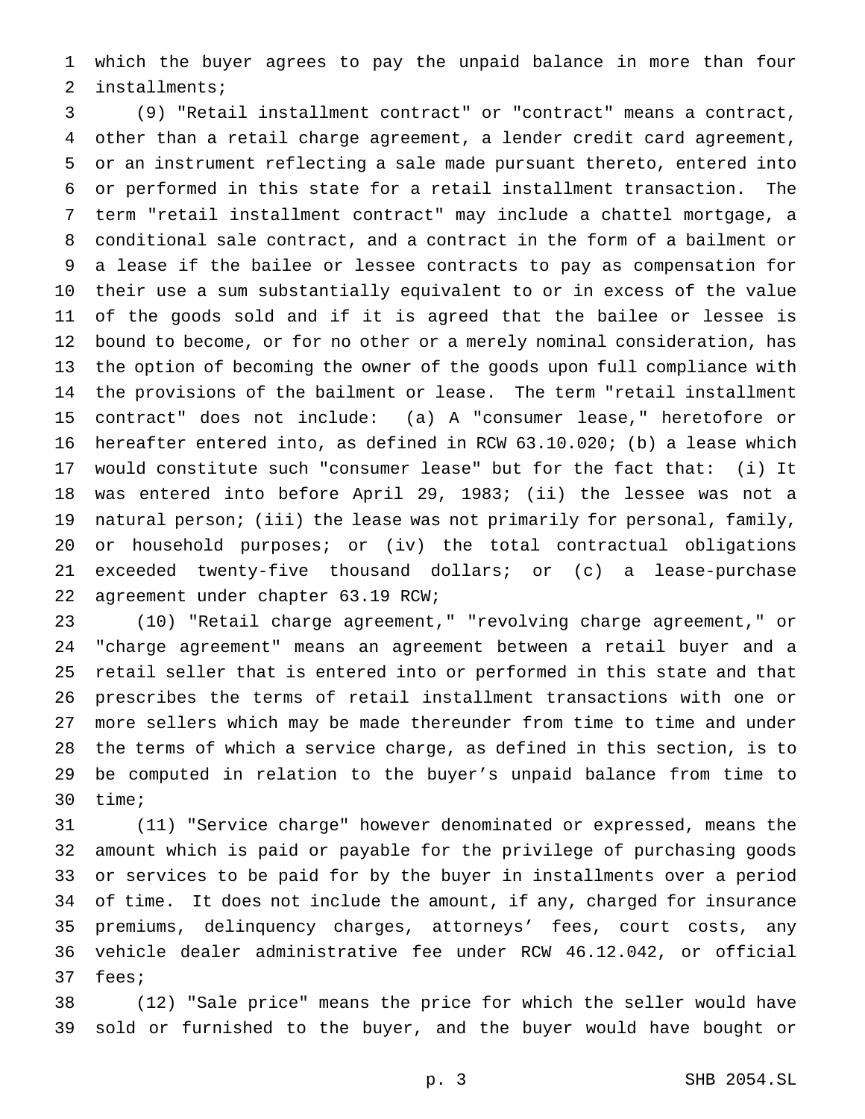which the buyer agrees to pay the unpaid balance in more than four installments;

 (9) "Retail installment contract" or "contract" means a contract, other than a retail charge agreement, a lender credit card agreement, or an instrument reflecting a sale made pursuant thereto, entered into or performed in this state for a retail installment transaction. The term "retail installment contract" may include a chattel mortgage, a conditional sale contract, and a contract in the form of a bailment or a lease if the bailee or lessee contracts to pay as compensation for their use a sum substantially equivalent to or in excess of the value of the goods sold and if it is agreed that the bailee or lessee is bound to become, or for no other or a merely nominal consideration, has the option of becoming the owner of the goods upon full compliance with the provisions of the bailment or lease. The term "retail installment contract" does not include: (a) A "consumer lease," heretofore or hereafter entered into, as defined in RCW 63.10.020; (b) a lease which would constitute such "consumer lease" but for the fact that: (i) It was entered into before April 29, 1983; (ii) the lessee was not a natural person; (iii) the lease was not primarily for personal, family, or household purposes; or (iv) the total contractual obligations exceeded twenty-five thousand dollars; or (c) a lease-purchase agreement under chapter 63.19 RCW;

 (10) "Retail charge agreement," "revolving charge agreement," or "charge agreement" means an agreement between a retail buyer and a retail seller that is entered into or performed in this state and that prescribes the terms of retail installment transactions with one or more sellers which may be made thereunder from time to time and under the terms of which a service charge, as defined in this section, is to be computed in relation to the buyer's unpaid balance from time to time;

 (11) "Service charge" however denominated or expressed, means the amount which is paid or payable for the privilege of purchasing goods or services to be paid for by the buyer in installments over a period of time. It does not include the amount, if any, charged for insurance premiums, delinquency charges, attorneys' fees, court costs, any vehicle dealer administrative fee under RCW 46.12.042, or official fees;

 (12) "Sale price" means the price for which the seller would have sold or furnished to the buyer, and the buyer would have bought or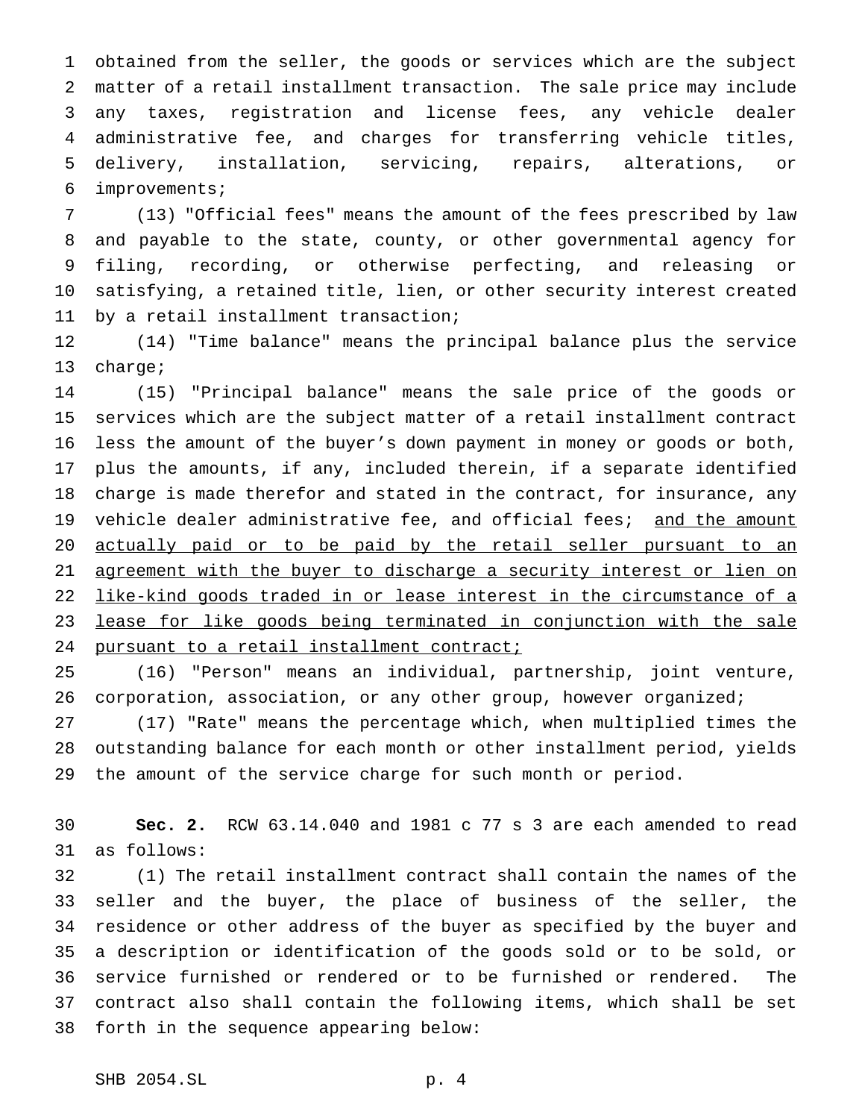obtained from the seller, the goods or services which are the subject matter of a retail installment transaction. The sale price may include any taxes, registration and license fees, any vehicle dealer administrative fee, and charges for transferring vehicle titles, delivery, installation, servicing, repairs, alterations, or improvements;

 (13) "Official fees" means the amount of the fees prescribed by law and payable to the state, county, or other governmental agency for filing, recording, or otherwise perfecting, and releasing or satisfying, a retained title, lien, or other security interest created by a retail installment transaction;

 (14) "Time balance" means the principal balance plus the service charge;

 (15) "Principal balance" means the sale price of the goods or services which are the subject matter of a retail installment contract less the amount of the buyer's down payment in money or goods or both, plus the amounts, if any, included therein, if a separate identified charge is made therefor and stated in the contract, for insurance, any 19 vehicle dealer administrative fee, and official fees; and the amount actually paid or to be paid by the retail seller pursuant to an 21 agreement with the buyer to discharge a security interest or lien on like-kind goods traded in or lease interest in the circumstance of a lease for like goods being terminated in conjunction with the sale 24 pursuant to a retail installment contract;

 (16) "Person" means an individual, partnership, joint venture, 26 corporation, association, or any other group, however organized;

 (17) "Rate" means the percentage which, when multiplied times the outstanding balance for each month or other installment period, yields the amount of the service charge for such month or period.

 **Sec. 2.** RCW 63.14.040 and 1981 c 77 s 3 are each amended to read as follows:

 (1) The retail installment contract shall contain the names of the seller and the buyer, the place of business of the seller, the residence or other address of the buyer as specified by the buyer and a description or identification of the goods sold or to be sold, or service furnished or rendered or to be furnished or rendered. The contract also shall contain the following items, which shall be set forth in the sequence appearing below: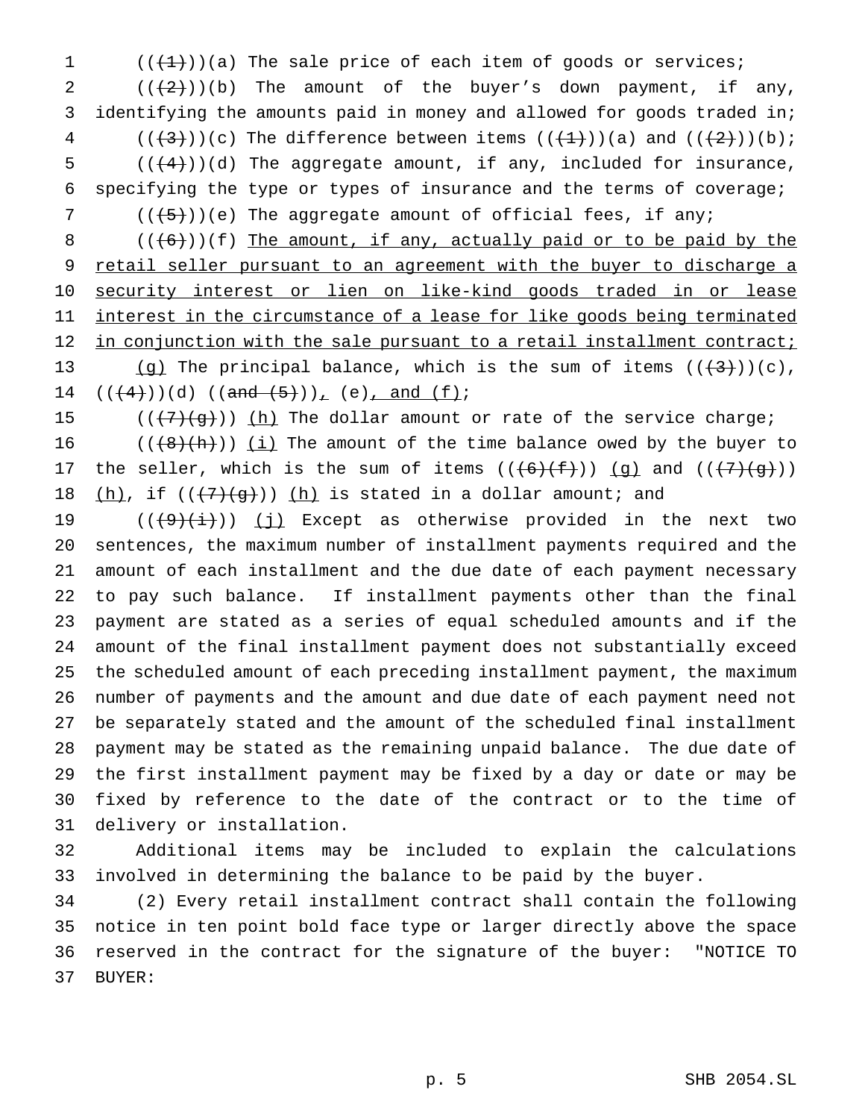$((+1))$  (a) The sale price of each item of goods or services;  $((+2+))$  (b) The amount of the buyer's down payment, if any, identifying the amounts paid in money and allowed for goods traded in; 4 ( $(\frac{+3}{)$ )(c) The difference between items  $(\frac{+1}{+})$ )(a) and  $(\frac{+2}{+})$ )(b);  $((+4))$  (d) The aggregate amount, if any, included for insurance, specifying the type or types of insurance and the terms of coverage;  $((+5+))$  (e) The aggregate amount of official fees, if any;

8  $((+6))$  (f) The amount, if any, actually paid or to be paid by the 9 retail seller pursuant to an agreement with the buyer to discharge a 10 security interest or lien on like-kind goods traded in or lease 11 interest in the circumstance of a lease for like goods being terminated 12 in conjunction with the sale pursuant to a retail installment contract; 13 (g) The principal balance, which is the sum of items  $((+3))$  (c), 14  $((+4))$   $(d)$   $((and +5))$ ,  $(e)$ , and  $(f)$ ;

15  $((+7)+(g))$  (h) The dollar amount or rate of the service charge;

16  $((\{8\},\{h\}))$  (i) The amount of the time balance owed by the buyer to 17 the seller, which is the sum of items  $((\theta + (f)))(g)$  and  $((\theta + (f) + (g)))$ 18  $(h)$ , if  $((+7)+(g))$   $(h)$  is stated in a dollar amount; and

 $((+9)(i))$  (j) Except as otherwise provided in the next two sentences, the maximum number of installment payments required and the amount of each installment and the due date of each payment necessary to pay such balance. If installment payments other than the final payment are stated as a series of equal scheduled amounts and if the amount of the final installment payment does not substantially exceed the scheduled amount of each preceding installment payment, the maximum number of payments and the amount and due date of each payment need not be separately stated and the amount of the scheduled final installment payment may be stated as the remaining unpaid balance. The due date of the first installment payment may be fixed by a day or date or may be fixed by reference to the date of the contract or to the time of delivery or installation.

32 Additional items may be included to explain the calculations 33 involved in determining the balance to be paid by the buyer.

 (2) Every retail installment contract shall contain the following notice in ten point bold face type or larger directly above the space reserved in the contract for the signature of the buyer: "NOTICE TO 37 BUYER: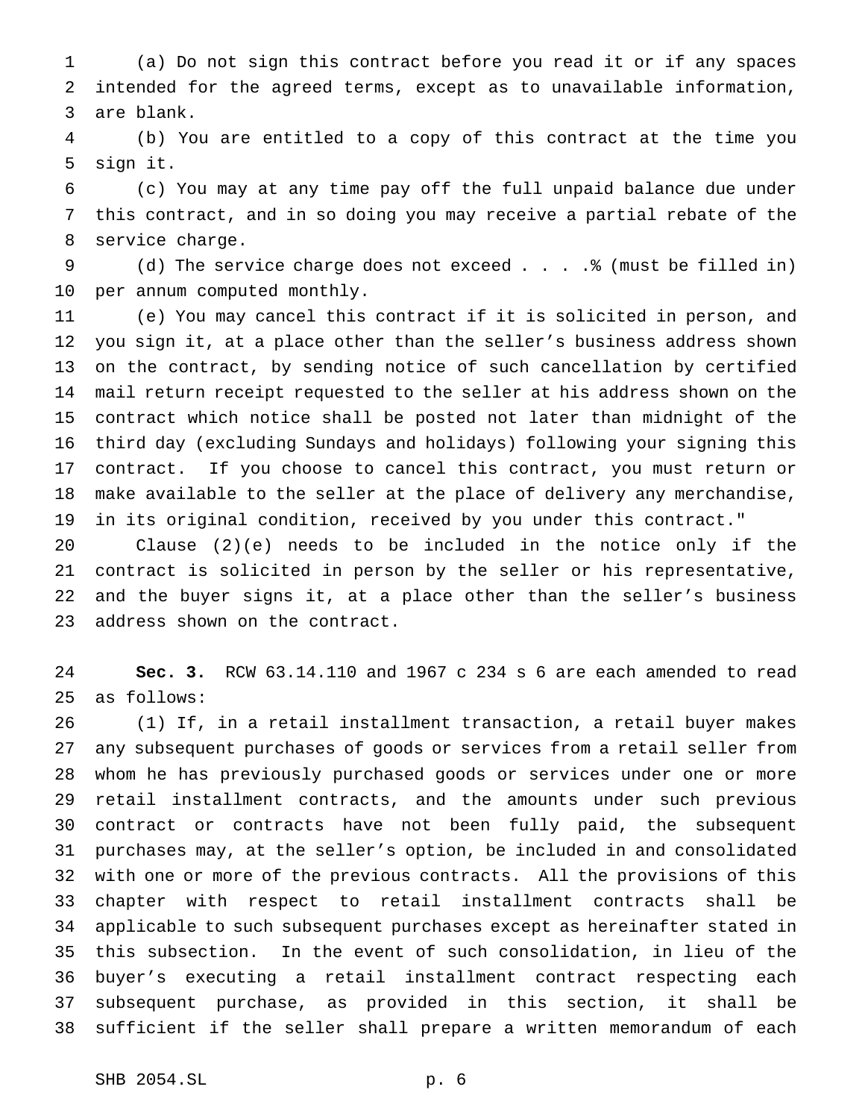(a) Do not sign this contract before you read it or if any spaces intended for the agreed terms, except as to unavailable information, are blank.

 (b) You are entitled to a copy of this contract at the time you sign it.

 (c) You may at any time pay off the full unpaid balance due under this contract, and in so doing you may receive a partial rebate of the service charge.

 (d) The service charge does not exceed . . . .% (must be filled in) per annum computed monthly.

 (e) You may cancel this contract if it is solicited in person, and you sign it, at a place other than the seller's business address shown on the contract, by sending notice of such cancellation by certified mail return receipt requested to the seller at his address shown on the contract which notice shall be posted not later than midnight of the third day (excluding Sundays and holidays) following your signing this contract. If you choose to cancel this contract, you must return or make available to the seller at the place of delivery any merchandise, in its original condition, received by you under this contract."

 Clause (2)(e) needs to be included in the notice only if the contract is solicited in person by the seller or his representative, and the buyer signs it, at a place other than the seller's business address shown on the contract.

 **Sec. 3.** RCW 63.14.110 and 1967 c 234 s 6 are each amended to read as follows:

 (1) If, in a retail installment transaction, a retail buyer makes any subsequent purchases of goods or services from a retail seller from whom he has previously purchased goods or services under one or more retail installment contracts, and the amounts under such previous contract or contracts have not been fully paid, the subsequent purchases may, at the seller's option, be included in and consolidated with one or more of the previous contracts. All the provisions of this chapter with respect to retail installment contracts shall be applicable to such subsequent purchases except as hereinafter stated in this subsection. In the event of such consolidation, in lieu of the buyer's executing a retail installment contract respecting each subsequent purchase, as provided in this section, it shall be sufficient if the seller shall prepare a written memorandum of each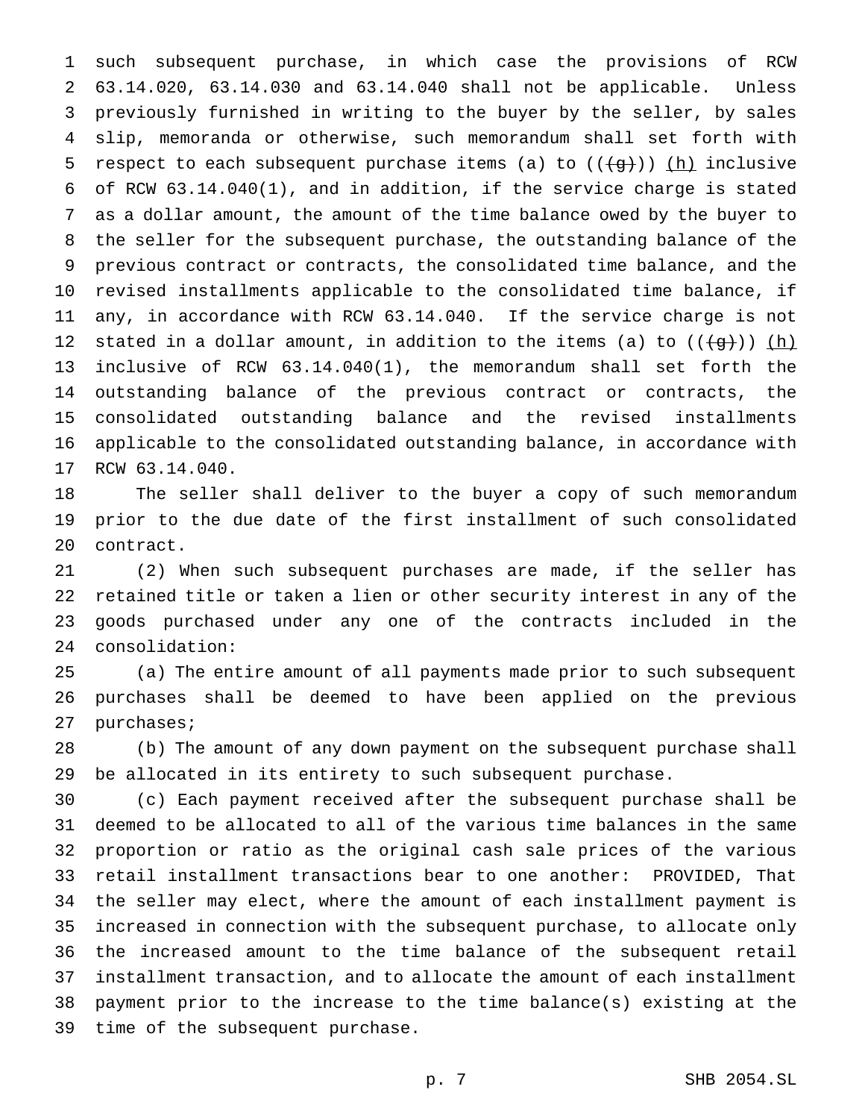such subsequent purchase, in which case the provisions of RCW 63.14.020, 63.14.030 and 63.14.040 shall not be applicable. Unless previously furnished in writing to the buyer by the seller, by sales slip, memoranda or otherwise, such memorandum shall set forth with 5 respect to each subsequent purchase items (a) to  $((+g))$  (h) inclusive of RCW 63.14.040(1), and in addition, if the service charge is stated as a dollar amount, the amount of the time balance owed by the buyer to the seller for the subsequent purchase, the outstanding balance of the previous contract or contracts, the consolidated time balance, and the revised installments applicable to the consolidated time balance, if any, in accordance with RCW 63.14.040. If the service charge is not 12 stated in a dollar amount, in addition to the items (a) to  $((+g+))$  (h) inclusive of RCW 63.14.040(1), the memorandum shall set forth the outstanding balance of the previous contract or contracts, the consolidated outstanding balance and the revised installments applicable to the consolidated outstanding balance, in accordance with RCW 63.14.040.

 The seller shall deliver to the buyer a copy of such memorandum prior to the due date of the first installment of such consolidated contract.

 (2) When such subsequent purchases are made, if the seller has retained title or taken a lien or other security interest in any of the goods purchased under any one of the contracts included in the consolidation:

 (a) The entire amount of all payments made prior to such subsequent purchases shall be deemed to have been applied on the previous purchases;

 (b) The amount of any down payment on the subsequent purchase shall be allocated in its entirety to such subsequent purchase.

 (c) Each payment received after the subsequent purchase shall be deemed to be allocated to all of the various time balances in the same proportion or ratio as the original cash sale prices of the various retail installment transactions bear to one another: PROVIDED, That the seller may elect, where the amount of each installment payment is increased in connection with the subsequent purchase, to allocate only the increased amount to the time balance of the subsequent retail installment transaction, and to allocate the amount of each installment payment prior to the increase to the time balance(s) existing at the time of the subsequent purchase.